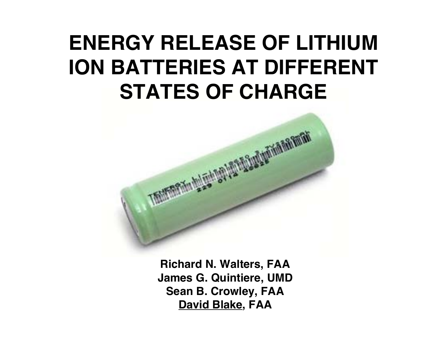# **ENERGY RELEASE OF LITHIUM ION BATTERIES AT DIFFERENT STATES OF CHARGE**



**Richard N. Walters, FAA James G. Quintiere, UMD Sean B. Crowley, FAA David Blake, FAA**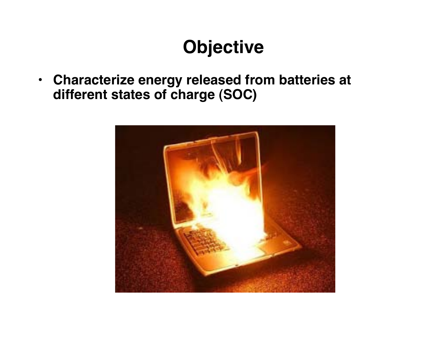## **Objective**

• **Characterize energy released from batteries at different states of charge (SOC)**

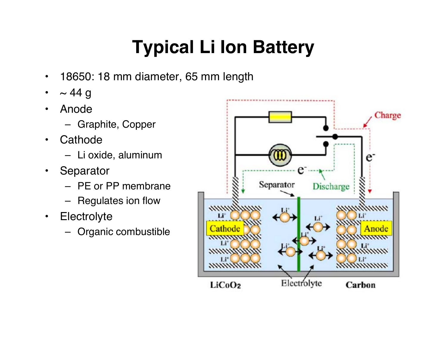# **Typical Li Ion Battery**

- 18650: 18 mm diameter, 65 mm length
- $\cdot$  ~ 44 g
- Anode
	- Graphite, Copper
- Cathode
	- Li oxide, aluminum
- Separator
	- PE or PP membrane
	- Regulates ion flow
- Electrolyte
	- Organic combustible

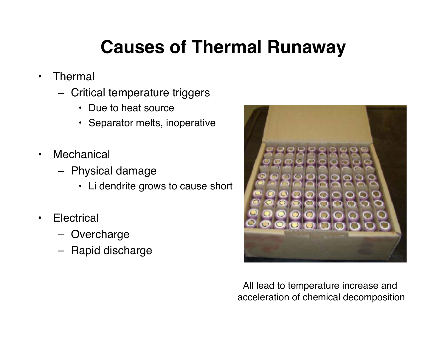## **Causes of Thermal Runaway**

- Thermal
	- Critical temperature triggers
		- Due to heat source
		- Separator melts, inoperative
- Mechanical
	- Physical damage
		- Li dendrite grows to cause short
- Electrical
	- Overcharge
	- Rapid discharge



All lead to temperature increase and acceleration of chemical decomposition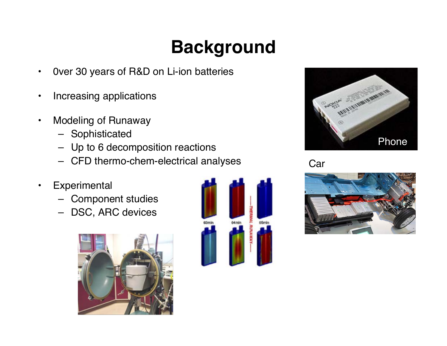# **Background**

- 0ver 30 years of R&D on Li-ion batteries
- Increasing applications
- Modeling of Runaway
	- Sophisticated
	- Up to 6 decomposition reactions
	- CFD thermo-chem-electrical analyses
- Experimental
	- Component studies
	- DSC, ARC devices







Car

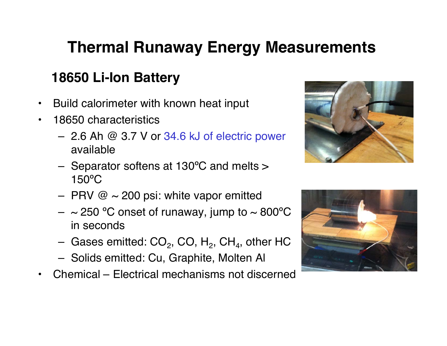### **Thermal Runaway Energy Measurements**

#### **18650 Li-Ion Battery**

- Build calorimeter with known heat input
- 18650 characteristics
	- 2.6 Ah @ 3.7 V or 34.6 kJ of electric power available
	- Separator softens at 130ºC and melts > 150ºC
	- PRV  $\omega \sim 200$  psi: white vapor emitted
	- $-$  ~ 250 °C onset of runaway, jump to ~ 800°C in seconds
	- Gases emitted:  $CO<sub>2</sub>$ , CO, H<sub>2</sub>, CH<sub>4</sub>, other HC
	- Solids emitted: Cu, Graphite, Molten Al
- Chemical Electrical mechanisms not discerned



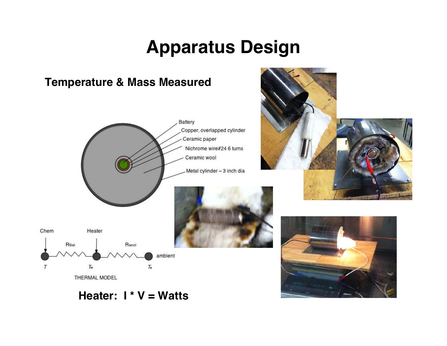### **Apparatus Design**



#### **Heater: I \* V = Watts**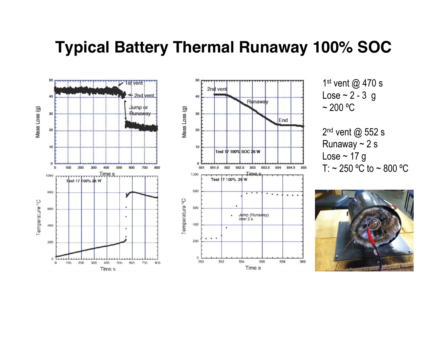#### **Typical Battery Thermal Runaway 100% SOC**



1st vent @ 470 s Lose  $\sim$  2 - 3 g  $\sim$  200 °C

2<sup>nd</sup> vent @ 552 s Runaway  $\sim$  2 s Lose  $\sim$  17 g T:  $\sim$  250 °C to  $\sim$  800 °C

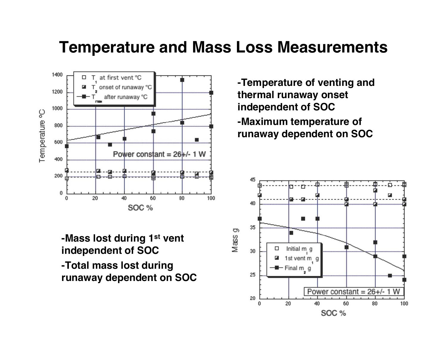#### **Temperature and Mass Loss Measurements**



**-Mass lost during 1st vent independent of SOC -Total mass lost during runaway dependent on SOC** **-Temperature of venting and thermal runaway onset independent of SOC -Maximum temperature of runaway dependent on SOC**

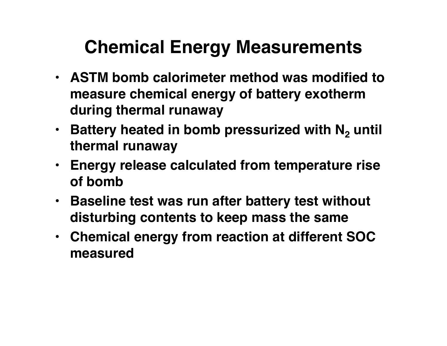## **Chemical Energy Measurements**

- **ASTM bomb calorimeter method was modified to measure chemical energy of battery exotherm during thermal runaway**
- Battery heated in bomb pressurized with N<sub>2</sub> until **thermal runaway**
- **Energy release calculated from temperature rise of bomb**
- **Baseline test was run after battery test without disturbing contents to keep mass the same**
- **Chemical energy from reaction at different SOC measured**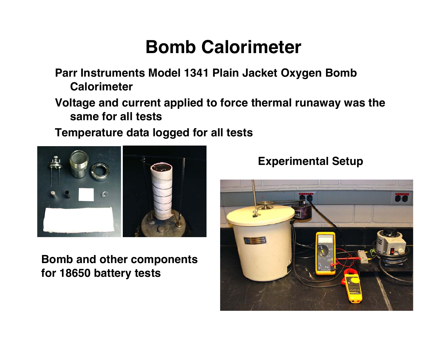### **Bomb Calorimeter**

**Parr Instruments Model 1341 Plain Jacket Oxygen Bomb Calorimeter**

**Voltage and current applied to force thermal runaway was the same for all tests**

**Temperature data logged for all tests**



**Bomb and other components for 18650 battery tests**



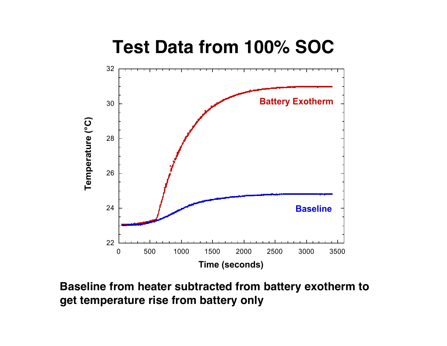

**Baseline from heater subtracted from battery exotherm to get temperature rise from battery only**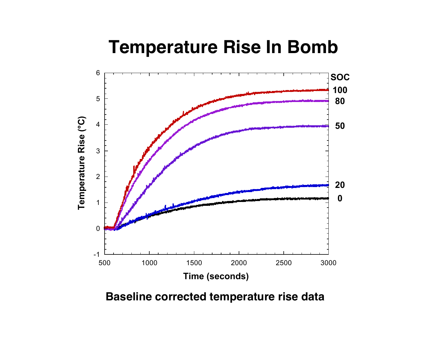### **Temperature Rise In Bomb**



**Baseline corrected temperature rise data**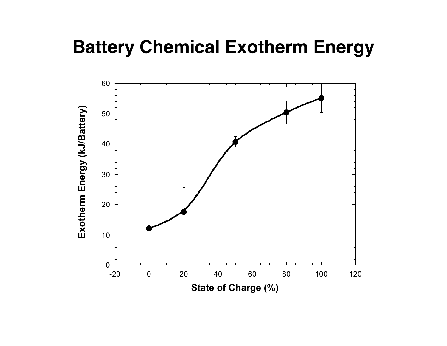### **Battery Chemical Exotherm Energy**

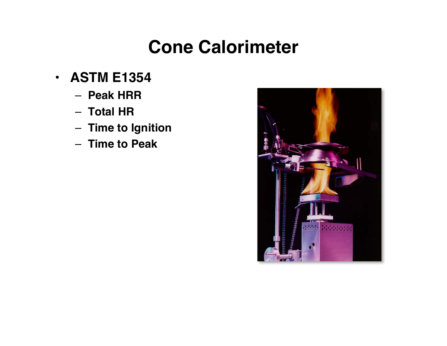### **Cone Calorimeter**

- **ASTM E1354**
	- **Peak HRR**
	- **Total HR**
	- **Time to Ignition**
	- **Time to Peak**

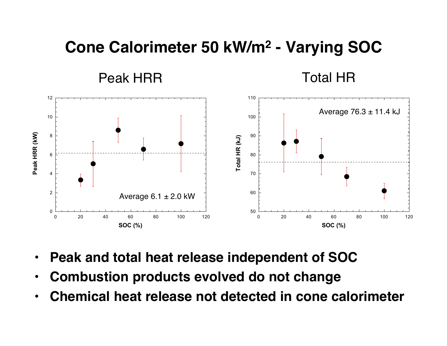#### **Cone Calorimeter 50 kW/m2 - Varying SOC**

Peak HRR Total HR



- **Peak and total heat release independent of SOC**
- **Combustion products evolved do not change**
- **Chemical heat release not detected in cone calorimeter**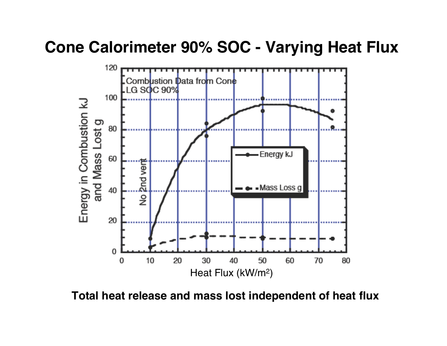#### **Cone Calorimeter 90% SOC - Varying Heat Flux**



**Total heat release and mass lost independent of heat flux**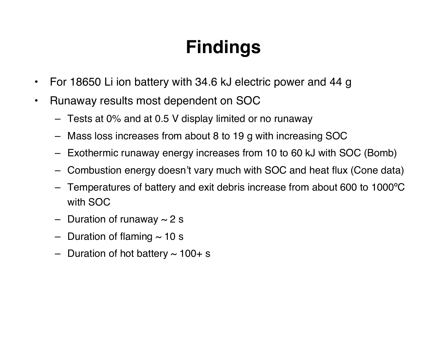# **Findings**

- For 18650 Li ion battery with 34.6 kJ electric power and 44 g
- Runaway results most dependent on SOC
	- Tests at 0% and at 0.5 V display limited or no runaway
	- Mass loss increases from about 8 to 19 g with increasing SOC
	- Exothermic runaway energy increases from 10 to 60 kJ with SOC (Bomb)
	- Combustion energy doesn't vary much with SOC and heat flux (Cone data)
	- Temperatures of battery and exit debris increase from about 600 to 1000ºC with SOC
	- Duration of runaway  $\sim$  2 s
	- Duration of flaming  $\sim$  10 s
	- Duration of hot battery  $\sim$  100+ s